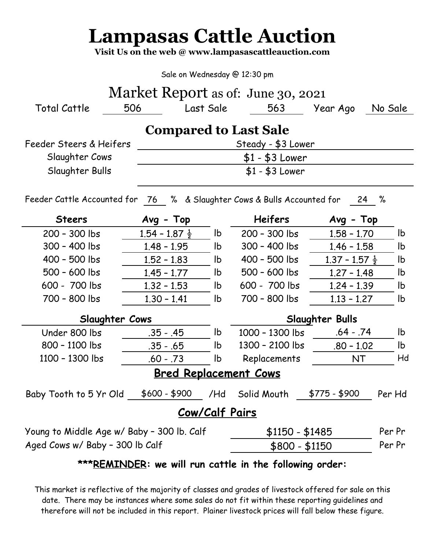## **Lampasas Cattle Auction**

**Visit Us on the web @ www.lampasascattleauction.com**

Sale on Wednesday @ 12:30 pm

| Market Report as of: June 30, 2021 |       |           |  |  |  |  |  |  |  |  |
|------------------------------------|-------|-----------|--|--|--|--|--|--|--|--|
| Total Cattle                       | - 506 | Last Sale |  |  |  |  |  |  |  |  |
|                                    |       |           |  |  |  |  |  |  |  |  |

## **Compared to Last Sale**

| Feeder Steers & Heifers | Steady - \$3 Lower |
|-------------------------|--------------------|
| Slaughter Cows          | \$1 - \$3 Lower    |
| Slaughter Bulls         | $$1 - $3$ Lower    |

Feeder Cattle Accounted for 76 % & Slaughter Cows & Bulls Accounted for 24 %

| <b>Steers</b>                              | $Avg - Top$               |                | <b>Heifers</b>  | $Avg - Top$               |        |  |  |  |  |  |  |  |
|--------------------------------------------|---------------------------|----------------|-----------------|---------------------------|--------|--|--|--|--|--|--|--|
| 200 - 300 lbs                              | $1.54 - 1.87 \frac{1}{2}$ | lb.            | 200 - 300 lbs   | $1.58 - 1.70$             | lb.    |  |  |  |  |  |  |  |
| 300 - 400 lbs                              | $1.48 - 1.95$             | lb.            | 300 - 400 lbs   | $1.46 - 1.58$             | lb     |  |  |  |  |  |  |  |
| 400 - 500 lbs                              | $1.52 - 1.83$             | lb.            | 400 - 500 lbs   | $1.37 - 1.57 \frac{1}{2}$ | lb     |  |  |  |  |  |  |  |
| 500 - 600 lbs                              | $1.45 - 1.77$             | lb.            | $500 - 600$ lbs | $1,27 - 1,48$<br>lb       |        |  |  |  |  |  |  |  |
| 600 - 700 lbs                              | $1.32 - 1.53$             | lb.            | 600 - 700 lbs   | $1.24 - 1.39$             | lb     |  |  |  |  |  |  |  |
| 700 - 800 lbs                              | $1.30 - 1.41$             | lb.            | 700 - 800 lbs   | $1.13 - 1.27$             | lb.    |  |  |  |  |  |  |  |
| Slaughter Cows                             |                           |                | Slaughter Bulls |                           |        |  |  |  |  |  |  |  |
| Under 800 lbs                              | $.35 - .45$               | lb.            | 1000 - 1300 lbs | $.64 - .74$               | lb.    |  |  |  |  |  |  |  |
| 800 - 1100 lbs                             | $.35 - .65$               | lb.            | 1300 - 2100 lbs | $.80 - 1.02$              | lb.    |  |  |  |  |  |  |  |
| 1100 - 1300 lbs                            | $.60 - .73$               | lb             | Replacements    | NT.                       | Hd     |  |  |  |  |  |  |  |
| <b>Bred Replacement Cows</b>               |                           |                |                 |                           |        |  |  |  |  |  |  |  |
| Baby Tooth to 5 Yr Old                     | $$600 - $900$             | /Hd            | Solid Mouth     | $$775 - $900$             | Per Hd |  |  |  |  |  |  |  |
| <b>Cow/Calf Pairs</b>                      |                           |                |                 |                           |        |  |  |  |  |  |  |  |
| Young to Middle Age w/ Baby - 300 lb. Calf |                           |                | $$1150 - $1485$ |                           | Per Pr |  |  |  |  |  |  |  |
| Aged Cows w/ Baby - 300 lb Calf            |                           | $$800 - $1150$ |                 | Per Pr                    |        |  |  |  |  |  |  |  |
|                                            |                           |                |                 |                           |        |  |  |  |  |  |  |  |

**\*\*\*REMINDER: we will run cattle in the following order:**

This market is reflective of the majority of classes and grades of livestock offered for sale on this date. There may be instances where some sales do not fit within these reporting guidelines and therefore will not be included in this report. Plainer livestock prices will fall below these figure.